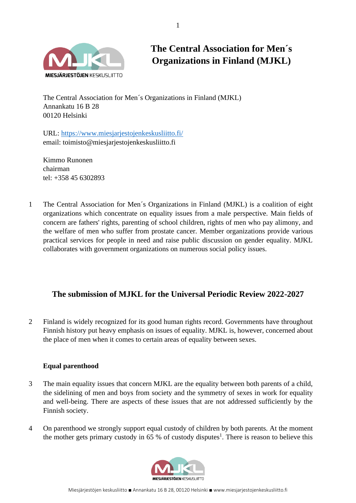

**The Central Association for Men´s Organizations in Finland (MJKL)**

The Central Association for Men´s Organizations in Finland (MJKL) Annankatu 16 B 28 00120 Helsinki

URL:<https://www.miesjarjestojenkeskusliitto.fi/> email: toimisto@miesjarjestojenkeskusliitto.fi

Kimmo Runonen chairman tel: +358 45 6302893

1 The Central Association for Men´s Organizations in Finland (MJKL) is a coalition of eight organizations which concentrate on equality issues from a male perspective. Main fields of concern are fathers' rights, parenting of school children, rights of men who pay alimony, and the welfare of men who suffer from prostate cancer. Member organizations provide various practical services for people in need and raise public discussion on gender equality. MJKL collaborates with government organizations on numerous social policy issues.

# **The submission of MJKL for the Universal Periodic Review 2022-2027**

2 Finland is widely recognized for its good human rights record. Governments have throughout Finnish history put heavy emphasis on issues of equality. MJKL is, however, concerned about the place of men when it comes to certain areas of equality between sexes.

## **Equal parenthood**

- 3 The main equality issues that concern MJKL are the equality between both parents of a child, the sidelining of men and boys from society and the symmetry of sexes in work for equality and well-being. There are aspects of these issues that are not addressed sufficiently by the Finnish society.
- 4 On parenthood we strongly support equal custody of children by both parents. At the moment the mother gets primary custody in 65 % of custody disputes<sup>1</sup>. There is reason to believe this

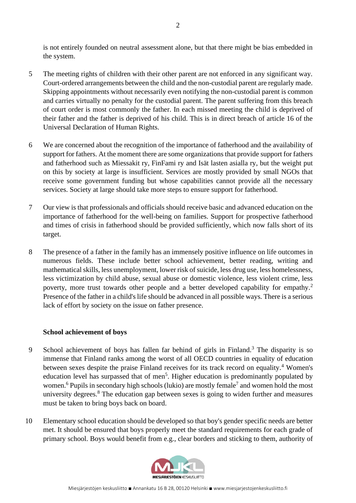is not entirely founded on neutral assessment alone, but that there might be bias embedded in the system.

- 5 The meeting rights of children with their other parent are not enforced in any significant way. Court-ordered arrangements between the child and the non-custodial parent are regularly made. Skipping appointments without necessarily even notifying the non-custodial parent is common and carries virtually no penalty for the custodial parent. The parent suffering from this breach of court order is most commonly the father. In each missed meeting the child is deprived of their father and the father is deprived of his child. This is in direct breach of article 16 of the Universal Declaration of Human Rights.
- 6 We are concerned about the recognition of the importance of fatherhood and the availability of support for fathers. At the moment there are some organizations that provide support for fathers and fatherhood such as Miessakit ry, FinFami ry and Isät lasten asialla ry, but the weight put on this by society at large is insufficient. Services are mostly provided by small NGOs that receive some government funding but whose capabilities cannot provide all the necessary services. Society at large should take more steps to ensure support for fatherhood.
- 7 Our view is that professionals and officials should receive basic and advanced education on the importance of fatherhood for the well-being on families. Support for prospective fatherhood and times of crisis in fatherhood should be provided sufficiently, which now falls short of its target.
- 8 The presence of a father in the family has an immensely positive influence on life outcomes in numerous fields. These include better school achievement, better reading, writing and mathematical skills, less unemployment, lower risk of suicide, less drug use, less homelessness, less victimization by child abuse, sexual abuse or domestic violence, less violent crime, less poverty, more trust towards other people and a better developed capability for empathy.<sup>2</sup> Presence of the father in a child's life should be advanced in all possible ways. There is a serious lack of effort by society on the issue on father presence.

### **School achievement of boys**

- 9 School achievement of boys has fallen far behind of girls in Finland.<sup>3</sup> The disparity is so immense that Finland ranks among the worst of all OECD countries in equality of education between sexes despite the praise Finland receives for its track record on equality.<sup>4</sup> Women's education level has surpassed that of men<sup>5</sup>. Higher education is predominantly populated by women.<sup>6</sup> Pupils in secondary high schools (lukio) are mostly female<sup>7</sup> and women hold the most university degrees.<sup>8</sup> The education gap between sexes is going to widen further and measures must be taken to bring boys back on board.
- 10 Elementary school education should be developed so that boy's gender specific needs are better met. It should be ensured that boys properly meet the standard requirements for each grade of primary school. Boys would benefit from e.g., clear borders and sticking to them, authority of

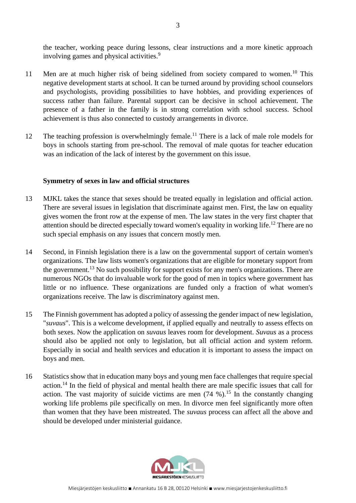the teacher, working peace during lessons, clear instructions and a more kinetic approach involving games and physical activities.<sup>9</sup>

- 11 Men are at much higher risk of being sidelined from society compared to women.<sup>10</sup> This negative development starts at school. It can be turned around by providing school counselors and psychologists, providing possibilities to have hobbies, and providing experiences of success rather than failure. Parental support can be decisive in school achievement. The presence of a father in the family is in strong correlation with school success. School achievement is thus also connected to custody arrangements in divorce.
- 12 The teaching profession is overwhelmingly female.<sup>11</sup> There is a lack of male role models for boys in schools starting from pre-school. The removal of male quotas for teacher education was an indication of the lack of interest by the government on this issue.

#### **Symmetry of sexes in law and official structures**

- 13 MJKL takes the stance that sexes should be treated equally in legislation and official action. There are several issues in legislation that discriminate against men. First, the law on equality gives women the front row at the expense of men. The law states in the very first chapter that attention should be directed especially toward women's equality in working life.<sup>12</sup> There are no such special emphasis on any issues that concern mostly men.
- 14 Second, in Finnish legislation there is a law on the governmental support of certain women's organizations. The law lists women's organizations that are eligible for monetary support from the government.<sup>13</sup> No such possibility for support exists for any men's organizations. There are numerous NGOs that do invaluable work for the good of men in topics where government has little or no influence. These organizations are funded only a fraction of what women's organizations receive. The law is discriminatory against men.
- 15 The Finnish government has adopted a policy of assessing the gender impact of new legislation, "*suvaus*". This is a welcome development, if applied equally and neutrally to assess effects on both sexes. Now the application on *suvaus* leaves room for development. *Suvaus* as a process should also be applied not only to legislation, but all official action and system reform. Especially in social and health services and education it is important to assess the impact on boys and men.
- 16 Statistics show that in education many boys and young men face challenges that require special action.<sup>14</sup> In the field of physical and mental health there are male specific issues that call for action. The vast majority of suicide victims are men  $(74\%)$ .<sup>15</sup> In the constantly changing working life problems pile specifically on men. In divorce men feel significantly more often than women that they have been mistreated. The *suvaus* process can affect all the above and should be developed under ministerial guidance.

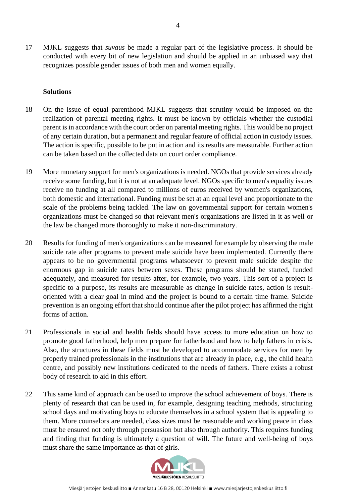17 MJKL suggests that *suvaus* be made a regular part of the legislative process. It should be conducted with every bit of new legislation and should be applied in an unbiased way that recognizes possible gender issues of both men and women equally.

#### **Solutions**

- 18 On the issue of equal parenthood MJKL suggests that scrutiny would be imposed on the realization of parental meeting rights. It must be known by officials whether the custodial parent is in accordance with the court order on parental meeting rights. This would be no project of any certain duration, but a permanent and regular feature of official action in custody issues. The action is specific, possible to be put in action and its results are measurable. Further action can be taken based on the collected data on court order compliance.
- 19 More monetary support for men's organizations is needed. NGOs that provide services already receive some funding, but it is not at an adequate level. NGOs specific to men's equality issues receive no funding at all compared to millions of euros received by women's organizations, both domestic and international. Funding must be set at an equal level and proportionate to the scale of the problems being tackled. The law on governmental support for certain women's organizations must be changed so that relevant men's organizations are listed in it as well or the law be changed more thoroughly to make it non-discriminatory.
- 20 Results for funding of men's organizations can be measured for example by observing the male suicide rate after programs to prevent male suicide have been implemented. Currently there appears to be no governmental programs whatsoever to prevent male suicide despite the enormous gap in suicide rates between sexes. These programs should be started, funded adequately, and measured for results after, for example, two years. This sort of a project is specific to a purpose, its results are measurable as change in suicide rates, action is resultoriented with a clear goal in mind and the project is bound to a certain time frame. Suicide prevention is an ongoing effort that should continue after the pilot project has affirmed the right forms of action.
- 21 Professionals in social and health fields should have access to more education on how to promote good fatherhood, help men prepare for fatherhood and how to help fathers in crisis. Also, the structures in these fields must be developed to accommodate services for men by properly trained professionals in the institutions that are already in place, e.g., the child health centre, and possibly new institutions dedicated to the needs of fathers. There exists a robust body of research to aid in this effort.
- 22 This same kind of approach can be used to improve the school achievement of boys. There is plenty of research that can be used in, for example, designing teaching methods, structuring school days and motivating boys to educate themselves in a school system that is appealing to them. More counselors are needed, class sizes must be reasonable and working peace in class must be ensured not only through persuasion but also through authority. This requires funding and finding that funding is ultimately a question of will. The future and well-being of boys must share the same importance as that of girls.



MIESIÄRIESTÖIEN KESKUSLIITTO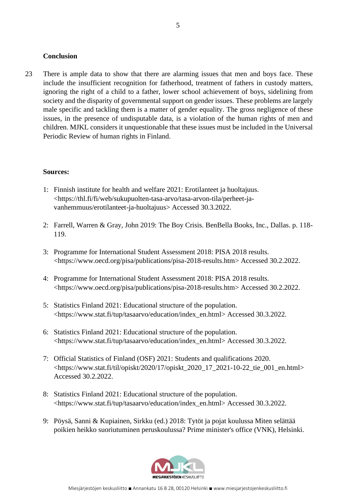#### **Conclusion**

23 There is ample data to show that there are alarming issues that men and boys face. These include the insufficient recognition for fatherhood, treatment of fathers in custody matters, ignoring the right of a child to a father, lower school achievement of boys, sidelining from society and the disparity of governmental support on gender issues. These problems are largely male specific and tackling them is a matter of gender equality. The gross negligence of these issues, in the presence of undisputable data, is a violation of the human rights of men and children. MJKL considers it unquestionable that these issues must be included in the Universal Periodic Review of human rights in Finland.

#### **Sources:**

- 1: Finnish institute for health and welfare 2021: Erotilanteet ja huoltajuus. <https://thl.fi/fi/web/sukupuolten-tasa-arvo/tasa-arvon-tila/perheet-javanhemmuus/erotilanteet-ja-huoltajuus> Accessed 30.3.2022.
- 2: Farrell, Warren & Gray, John 2019: The Boy Crisis. BenBella Books, Inc., Dallas. p. 118- 119.
- 3: Programme for International Student Assessment 2018: PISA 2018 results. <https://www.oecd.org/pisa/publications/pisa-2018-results.htm> Accessed 30.2.2022.
- 4: Programme for International Student Assessment 2018: PISA 2018 results. <https://www.oecd.org/pisa/publications/pisa-2018-results.htm> Accessed 30.2.2022.
- 5: Statistics Finland 2021: Educational structure of the population. <https://www.stat.fi/tup/tasaarvo/education/index\_en.html> Accessed 30.3.2022.
- 6: Statistics Finland 2021: Educational structure of the population. <https://www.stat.fi/tup/tasaarvo/education/index\_en.html> Accessed 30.3.2022.
- 7: Official Statistics of Finland (OSF) 2021: Students and qualifications 2020. <https://www.stat.fi/til/opiskt/2020/17/opiskt\_2020\_17\_2021-10-22\_tie\_001\_en.html> Accessed 30.2.2022.
- 8: Statistics Finland 2021: Educational structure of the population. <https://www.stat.fi/tup/tasaarvo/education/index\_en.html> Accessed 30.3.2022.
- 9: Pöysä, Sanni & Kupiainen, Sirkku (ed.) 2018: Tytöt ja pojat koulussa Miten selättää poikien heikko suoriutuminen peruskoulussa? Prime minister's office (VNK), Helsinki.